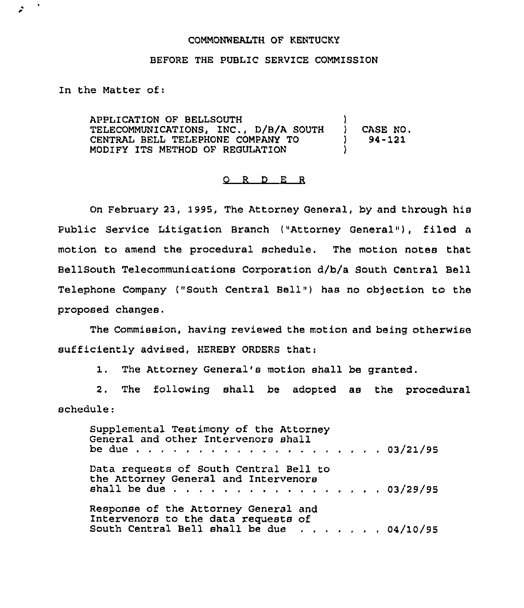## COMMONWEALTH QF KENTUCKY

## BEFORE THE PUBLIC SERVICE COMMISSION

In the Matter of:

è

APPLICATION OF BELLSOUTH TELECOMMUNICATIONS, INC., D/8/A SOUTH CENTRAL BELL TELEPHONE COMPANY TO MODIFY ITS METHOD OF REGULATION ) ) CASE NO.<br>
1 94-121 ) 94-121 )

## O R D E R

On February 23, 1995, The Attorney General, by and through his Public Service Litigation Branch ("Attorney General"), filed a motion to amend the procedural schedule. The motion notes that BellSouth Telecommunications Corporation d/b/a South Central Bell Telephone Company ("South Central Bell") has no objection to the proposed changes.

The Commission, having reviewed the motion and being otherwise sufficiently advised, HEREBY ORDERS that:

1. The Attorney General's motion shall be granted.

2. The following shall be adopted as the procedural schedule:

Supplemental Testimony of the Attorney General and other Intervenors shall be due 03/21/95 Data requests of South Central Bell to the Attorney General and Intervenors shall be due  $\cdots$ , . . . . . . . . . . . . . 03/29/9 Response of the Attorney General and Intervenors to the data requests of south Central Bell shall be due . . . . . . 04/10/9